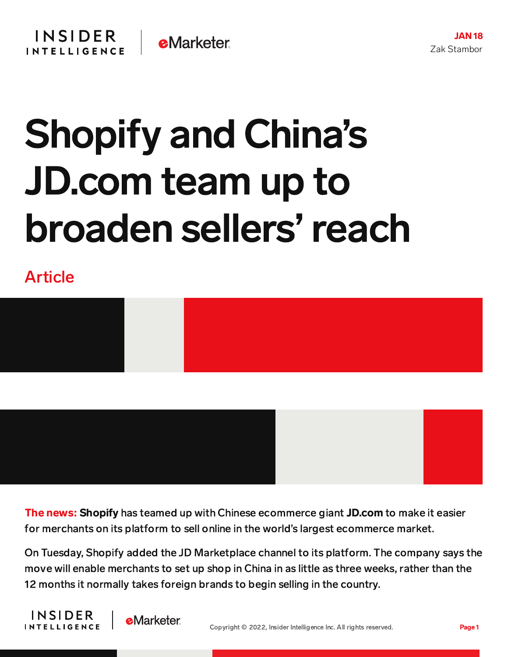## Shopify and China's JD.com team up to broaden sellers'reach

## Article



The news: Shopify has teamed up with Chinese ecommerce giant JD.com to make it easier for merchants on its platform to sell online in the world's largest ecommerce market.

On Tuesday, Shopify added the JD Marketplace channel to its platform. The company says the move will enable merchants to set up shop in China in as little as three weeks, rather than the 12 months it normally takes foreign brands to begin selling in the country.

**INSIDER INTELLIGENCE** 

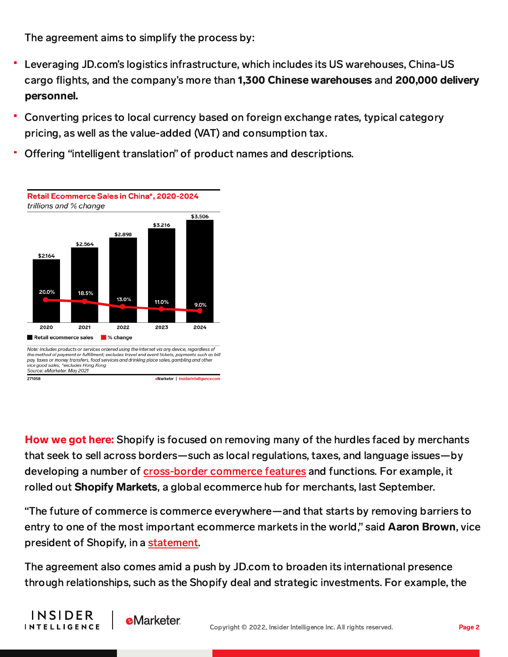The agreement aims to simplify the process by:

- Leveraging JD.com's logistics infrastructure, which includes its US warehouses, China-US cargo flights, and the company's more than 1,300 Chinese warehouses and 200,000 delivery personnel.
- Converting prices to local currency based on foreign exchange rates, typical category pricing, as well as the value-added (VAT) and consumption tax.
- Offering "intelligent translation" of product names and descriptions.



How we got here: Shopify is focused on removing many of the hurdles faced by merchants that seek to sell across borders—such as local regulations, taxes, and language issues—by developing a number of [cross-border](https://content-na1.emarketer.com/shopify-pushing-cross-border-commerce-bid-attract-larger-merchants) commerce features and functions. For example, it rolled out **Shopify Markets**, a global ecommerce hub for merchants, last September.

"The future of commerce is commerce everywhere—and that starts by removing barriers to entry to one of the most important ecommerce markets in the world," said **Aaron Brown**, vice president of Shopify, in a [statement.](https://news.shopify.com/shopify-and-jdcom-unlock-worlds-largest-e-commerce-market-for-merchants)

The agreement also comes amid a push by JD.com to broaden its international presence through relationships, such as the Shopify deal and strategic investments. For example, the



**e**Marketer